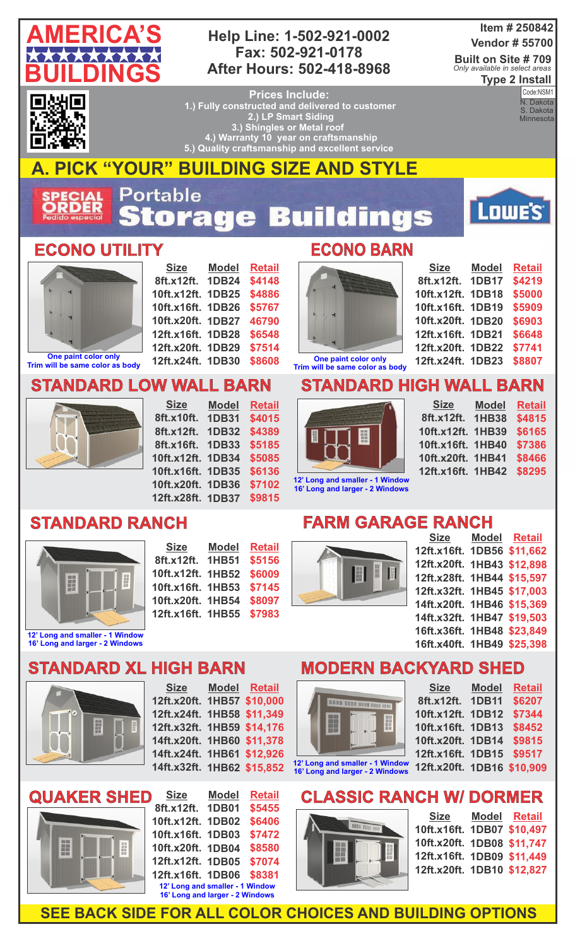

#### **Help Line: 1-502-921-0002 Fax: 502-921-0178 After Hours: 502-418-8968**

#### **Item # 250842 Vendor # 55700**

**Built on Site # 709 Type 2 Install** *Only available in select areas*



**Prices Include: 1.) Fully constructed and delivered to customer 2.) LP Smart Siding 3.) Shingles or Metal roof 4.) Warranty 10 year on craftsmanship 5.) Quality craftsmanship and excellent service** 

**Code:**<br>N. Dakota Code:NSM1 S. Dakota **Minnesota** 

**AMERICA'S CONSTRUCTION** 

Lowe's

# **A. PICK "YOUR" BUILDING SIZE AND STYLE**

Portable **ECIAL**<br>RDER tora 53  $\bullet$ ÷

#### **ECONO UTILITY ECONO BARN**



**Trim will be same color as body**

**Size 8ft.x12ft. 1DB24 10ft.x12ft. 1DB25 10ft.x16ft. 1DB26 10ft.x20ft. 1DB27 12ft.x16ft. 1DB28 12ft.x20ft. 1DB29 12ft.x24ft. 1DB30 Model Retail \$4148 \$4886 \$5767 46790 \$6548 \$7514 \$8608**

### **STANDARD LOW WALL BARN**



**Size 8ft.x10ft. 1DB31 8ft.x12ft. 1DB32 8ft.x16ft. 1DB33 10ft.x12ft. 1DB34 10ft.x16ft. 1DB35 10ft.x20ft. 1DB36 12ft.x28ft. 1DB37 Model Retail \$4015 \$4389 \$5185 \$5085 \$6136 \$7102 \$9815**

## **STANDARD RANCH**



**16' Long and larger - 2 Windows**

| <b>Size</b>       | <b>Model</b> | <b>Retail</b> |
|-------------------|--------------|---------------|
| 8ft.x12ft.        | <b>1HB51</b> | \$5156        |
| 10ft.x12ft.       | <b>1HB52</b> | \$6009        |
| 10ft.x16ft. 1HB53 |              | \$7145        |
| 10ft.x20ft. 1HB54 |              | \$8097        |
| 12ft.x16ft. 1HB55 |              | \$7983        |



| <b>Size</b>       | <b>Model</b> | <b>Retail</b> |
|-------------------|--------------|---------------|
| 8ft.x12ft.        | 1DB17        | \$4219        |
| 10ft.x12ft.       | <b>1DB18</b> | \$5000        |
| 10ft.x16ft.       | <b>1DB19</b> | \$5909        |
| 10ft.x20ft. 1DB20 |              | \$6903        |
| 12ft.x16ft. 1DB21 |              | \$6648        |
| 12ft.x20ft. 1DB22 |              | \$7741        |
| 12ft.x24ft. 1DB23 |              | \$8807        |

**One paint color only Trim will be same color as body**

### **STANDARD HIGH WALL BARN**



**Size 8ft.x12ft. 1HB38 10ft.x12ft. 1HB39 10ft.x16ft. 1HB40 10ft.x20ft. 1HB41 12ft.x16ft. 1HB42 Model Retail \$4815 \$6165 \$7386 \$8466 \$8295**

**12' Long and smaller - 1 Window 16' Long and larger - 2 Windows**

#### **FARM GARAGE RANCH**



| <u>Size</u> | Model Retail               |
|-------------|----------------------------|
|             | 1DB56 \$11,662             |
| 12ft.x20ft. | 1HB43 \$12,898             |
|             | 12ft.x28ft. 1HB44 \$15,597 |
|             | 12ft.x32ft. 1HB45 \$17,003 |
|             | 14ft.x20ft. 1HB46 \$15,369 |
|             | 14ft.x32ft. 1HB47 \$19,503 |
|             | 16ft.x36ft. 1HB48 \$23,849 |
|             | 16ft.x40ft. 1HB49 \$25,398 |
|             |                            |

## **STANDARD XL HIGH BARN**



| <u>Size</u>                | Model Retail |
|----------------------------|--------------|
| 12ft.x20ft. 1HB57 \$10,000 |              |
|                            |              |
| 12ft.x24ft. 1HB58 \$11,349 |              |
| 12ft.x32ft. 1HB59 \$14,176 |              |
| 14ft.x20ft. 1HB60 \$11,378 |              |
| 14ft.x24ft. 1HB61 \$12,926 |              |
| 14ft.x32ft. 1HB62 \$15,852 |              |
|                            |              |



| Size                            | Model        | <b>Retail</b> |
|---------------------------------|--------------|---------------|
| 8ft.x12ft.                      | <b>1DB01</b> | \$5455        |
| 10ft.x12ft. 1DB02               |              | \$6406        |
| 10ft.x16ft. 1DB03               |              | \$7472        |
| 10ft.x20ft. 1DB04               |              | \$8580        |
| 12ft.x12ft. 1DB05               |              | \$7074        |
| 12ft.x16ft. 1DB06               |              | \$8381        |
| 12' Long and smaller - 1 Window |              |               |
| 16' Long and larger - 2 Windows |              |               |

## **MODERN BACKYARD SHED**

 $S:=$ 

| <b>RUNNER DER BEIN BEIN ERRE</b> |
|----------------------------------|
|                                  |
|                                  |
|                                  |

**16' Long and larger - 2 Windows**

| <b>Size</b>                | <b>Model</b> | <b>Retail</b> |
|----------------------------|--------------|---------------|
| 8ft.x12ft.                 | <b>1DB11</b> | \$6207        |
| 10ft.x12ft.                | <b>1DB12</b> | \$7344        |
| 10ft.x16ft. 1DB13          |              | \$8452        |
| 10ft.x20ft. 1DB14          |              | \$9815        |
| 12ft.x16ft. 1DB15          |              | \$9517        |
| 12ft.x20ft. 1DB16 \$10,909 |              |               |
|                            |              |               |



| Size<br>10ft.x16ft. 1DB07 \$10,497<br>10ft.x20ft. 1DB08 \$11,747 | Model Retail |
|------------------------------------------------------------------|--------------|
| 12ft.x16ft. 1DB09 \$11,449                                       |              |
| 12ft.x20ft. 1DB10 \$12,827                                       |              |
|                                                                  |              |

| 12ft.x16ft. 1DB56 \$11,662 |  |
|----------------------------|--|
| 12ft.x20ft. 1HB43 \$12,898 |  |
| 12ft.x28ft. 1HB44 \$15,597 |  |
| 12ft.x32ft. 1HB45 \$17,003 |  |
| 14ft.x20ft. 1HB46 \$15,369 |  |
| 14ft.x32ft. 1HB47 \$19,503 |  |
| 16ft.x36ft. 1HB48 \$23,849 |  |
|                            |  |

**SEE BACK SIDE FOR ALL COLOR CHOICES AND BUILDING OPTIONS**